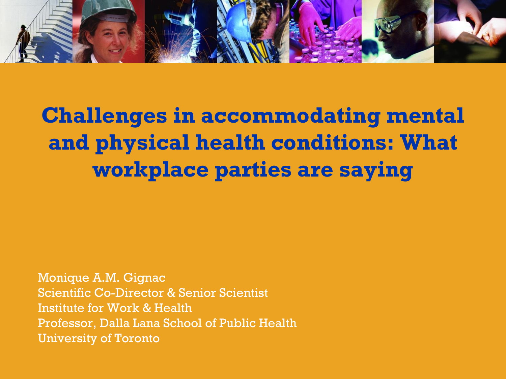

# **Challenges in accommodating mental and physical health conditions: What workplace parties are saying**

Monique A.M. Gignac Scientific Co-Director & Senior Scientist Institute for Work & Health Professor, Dalla Lana School of Public Health University of Toronto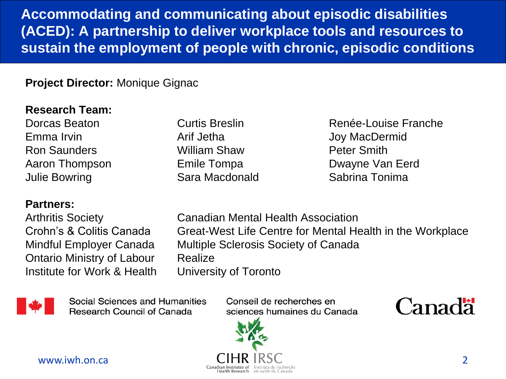**Accommodating and communicating about episodic disabilities (ACED): A partnership to deliver workplace tools and resources to sustain the employment of people with chronic, episodic conditions**

#### **Project Director:** Monique Gignac

#### **Research Team:**

Emma Irvin **Arif Jetha** Arif Jetha Joy MacDermid Ron Saunders William Shaw Peter Smith Julie Bowring Sara Macdonald Sabrina Tonima

#### **Partners:**

Ontario Ministry of Labour Realize Institute for Work & Health University of Toronto

Dorcas Beaton **Curtis Breslin** Curtis **Breslin** Renée-Louise Franche Aaron Thompson Emile Tompa **Dwayne Van Eerd** 

Arthritis Society Canadian Mental Health Association Crohn's & Colitis Canada Great-West Life Centre for Mental Health in the Workplace Mindful Employer Canada Multiple Sclerosis Society of Canada



Social Sciences and Humanities **Research Council of Canada** 

Conseil de recherches en sciences humaines du Canada



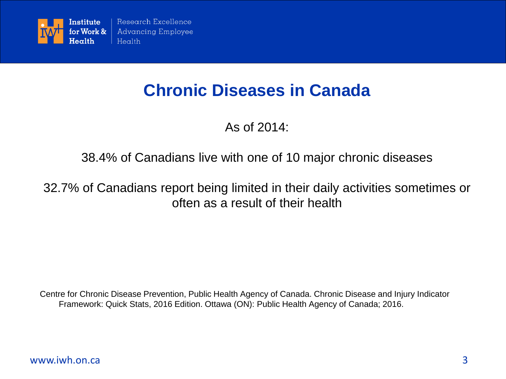

#### **Chronic Diseases in Canada**

As of 2014:

#### 38.4% of Canadians live with one of 10 major chronic diseases

#### 32.7% of Canadians report being limited in their daily activities sometimes or often as a result of their health

Centre for Chronic Disease Prevention, Public Health Agency of Canada. Chronic Disease and Injury Indicator Framework: Quick Stats, 2016 Edition. Ottawa (ON): Public Health Agency of Canada; 2016.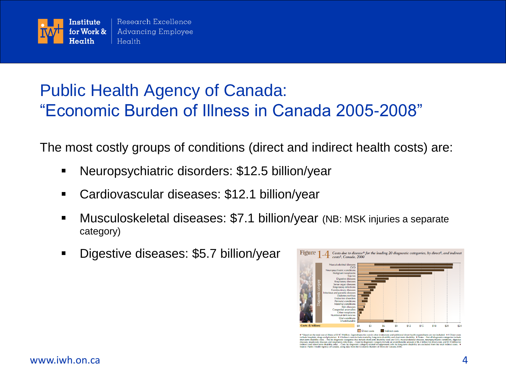

### Public Health Agency of Canada: "Economic Burden of Illness in Canada 2005-2008"

The most costly groups of conditions (direct and indirect health costs) are:

- Neuropsychiatric disorders: \$12.5 billion/year
- Cardiovascular diseases: \$12.1 billion/year
- Musculoskeletal diseases: \$7.1 billion/year (NB: MSK injuries a separate category)
- Digestive diseases: \$5.7 billion/year



istal cost of illness of \$1479 billion. Expenditures for care in other institutions and additional direct health expenditures are not included. \* † Direct costs<br>, drugs and physician. \* † Indirect costs include morality, l In usability. Vivolus. - Not all under<br>intervalse amount of \$6.4 billion for direction<br>term disability are excluded from on-term disability only). - Costs by disgnostic category related to suppressed cells for long-<br>lealth Agency of Canada, using data from the Economic Burden of Illness in Canada 2000.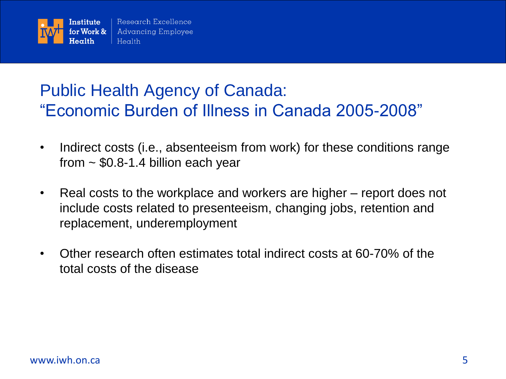

### Public Health Agency of Canada: "Economic Burden of Illness in Canada 2005-2008"

- Indirect costs (i.e., absenteeism from work) for these conditions range from  $\sim$  \$0.8-1.4 billion each year
- Real costs to the workplace and workers are higher report does not include costs related to presenteeism, changing jobs, retention and replacement, underemployment
- Other research often estimates total indirect costs at 60-70% of the total costs of the disease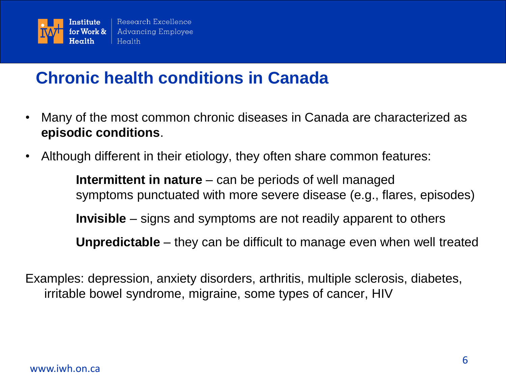

### **Chronic health conditions in Canada**

- Many of the most common chronic diseases in Canada are characterized as **episodic conditions**.
- Although different in their etiology, they often share common features:

**Intermittent in nature** – can be periods of well managed symptoms punctuated with more severe disease (e.g., flares, episodes) **Invisible** – signs and symptoms are not readily apparent to others **Unpredictable** – they can be difficult to manage even when well treated

Examples: depression, anxiety disorders, arthritis, multiple sclerosis, diabetes, irritable bowel syndrome, migraine, some types of cancer, HIV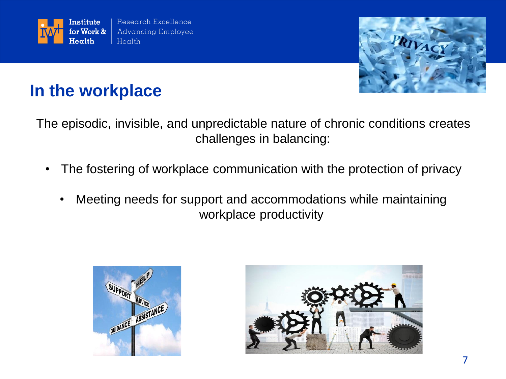



### **In the workplace**

The episodic, invisible, and unpredictable nature of chronic conditions creates challenges in balancing:

- The fostering of workplace communication with the protection of privacy
	- Meeting needs for support and accommodations while maintaining workplace productivity



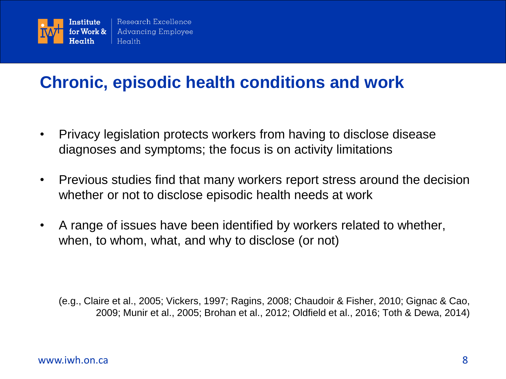

### **Chronic, episodic health conditions and work**

- Privacy legislation protects workers from having to disclose disease diagnoses and symptoms; the focus is on activity limitations
- Previous studies find that many workers report stress around the decision whether or not to disclose episodic health needs at work
- A range of issues have been identified by workers related to whether, when, to whom, what, and why to disclose (or not)

(e.g., Claire et al., 2005; Vickers, 1997; Ragins, 2008; Chaudoir & Fisher, 2010; Gignac & Cao, 2009; Munir et al., 2005; Brohan et al., 2012; Oldfield et al., 2016; Toth & Dewa, 2014)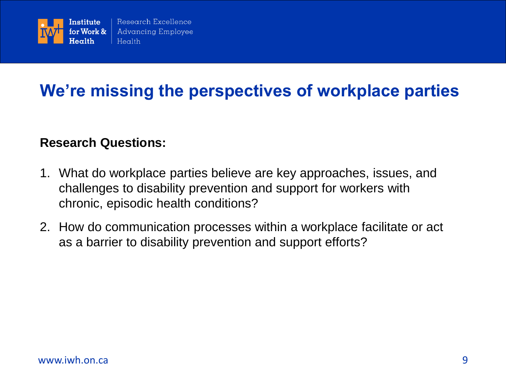

### **We're missing the perspectives of workplace parties**

#### **Research Questions:**

- 1. What do workplace parties believe are key approaches, issues, and challenges to disability prevention and support for workers with chronic, episodic health conditions?
- 2. How do communication processes within a workplace facilitate or act as a barrier to disability prevention and support efforts?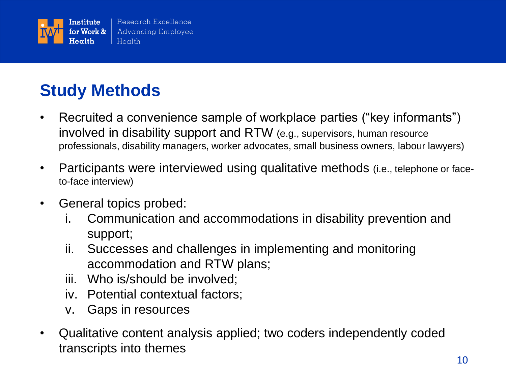

# **Study Methods**

- Recruited a convenience sample of workplace parties ("key informants") involved in disability support and RTW (e.g., supervisors, human resource professionals, disability managers, worker advocates, small business owners, labour lawyers)
- Participants were interviewed using qualitative methods (i.e., telephone or faceto-face interview)
- General topics probed:
	- i. Communication and accommodations in disability prevention and support;
	- ii. Successes and challenges in implementing and monitoring accommodation and RTW plans;
	- iii. Who is/should be involved;
	- iv. Potential contextual factors;
	- v. Gaps in resources
- Qualitative content analysis applied; two coders independently coded transcripts into themes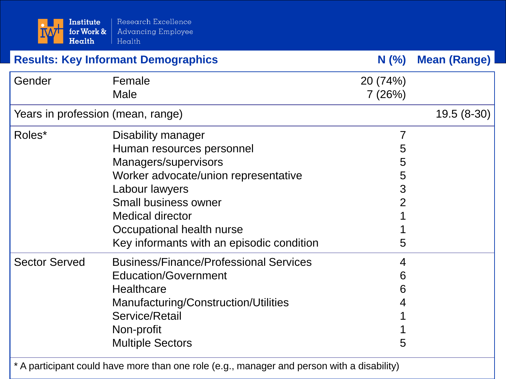| Institute<br>for Work &<br>Health          | Research Excellence<br><b>Advancing Employee</b><br>Health                                                                                                                                                                                                            |                                                           |                     |
|--------------------------------------------|-----------------------------------------------------------------------------------------------------------------------------------------------------------------------------------------------------------------------------------------------------------------------|-----------------------------------------------------------|---------------------|
| <b>Results: Key Informant Demographics</b> |                                                                                                                                                                                                                                                                       | $N$ (%)                                                   | <b>Mean (Range)</b> |
| Gender                                     | Female<br>Male                                                                                                                                                                                                                                                        | 20 (74%)<br>7(26%)                                        |                     |
| Years in profession (mean, range)          |                                                                                                                                                                                                                                                                       |                                                           | $19.5(8-30)$        |
| Roles*                                     | Disability manager<br>Human resources personnel<br>Managers/supervisors<br>Worker advocate/union representative<br>Labour lawyers<br><b>Small business owner</b><br><b>Medical director</b><br>Occupational health nurse<br>Key informants with an episodic condition | $\overline{7}$<br>5<br>5<br>5<br>3<br>$\overline{2}$<br>5 |                     |
| <b>Sector Served</b>                       | <b>Business/Finance/Professional Services</b><br><b>Education/Government</b><br><b>Healthcare</b><br>Manufacturing/Construction/Utilities<br>Service/Retail<br>Non-profit<br><b>Multiple Sectors</b>                                                                  | 4<br>6<br>6<br>4<br>5                                     |                     |

\* A participant could have more than one role (e.g., manager and person with a disability)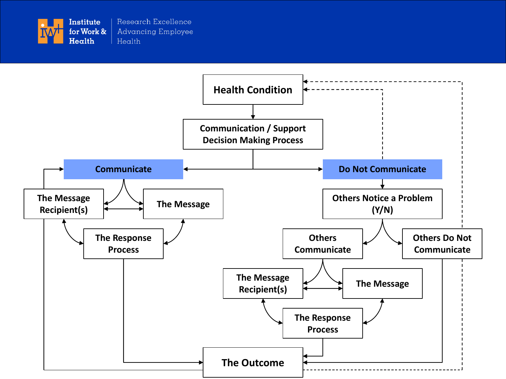

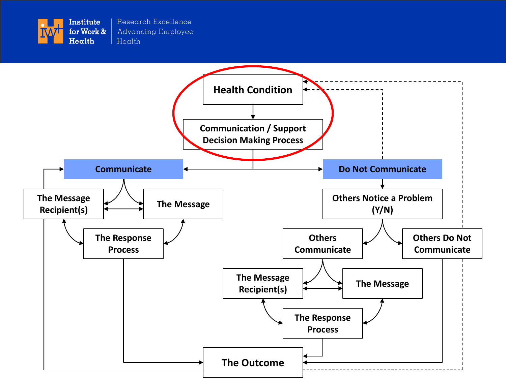

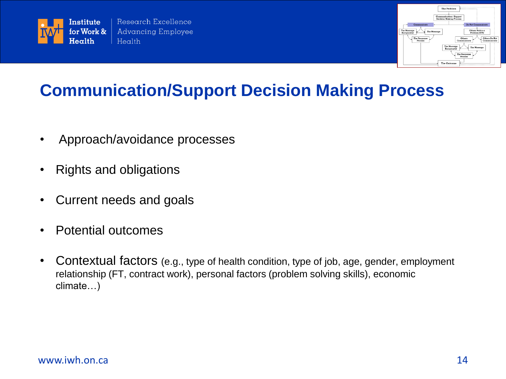



### **Communication/Support Decision Making Process**

- Approach/avoidance processes
- Rights and obligations
- Current needs and goals
- Potential outcomes
- Contextual factors (e.g., type of health condition, type of job, age, gender, employment relationship (FT, contract work), personal factors (problem solving skills), economic climate…)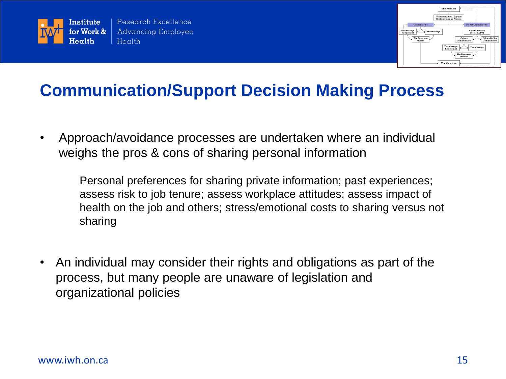



#### **Communication/Support Decision Making Process**

• Approach/avoidance processes are undertaken where an individual weighs the pros & cons of sharing personal information

Personal preferences for sharing private information; past experiences; assess risk to job tenure; assess workplace attitudes; assess impact of health on the job and others; stress/emotional costs to sharing versus not sharing

• An individual may consider their rights and obligations as part of the process, but many people are unaware of legislation and organizational policies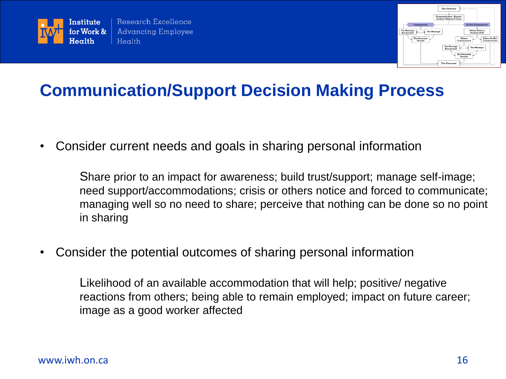



#### **Communication/Support Decision Making Process**

• Consider current needs and goals in sharing personal information

Share prior to an impact for awareness; build trust/support; manage self-image; need support/accommodations; crisis or others notice and forced to communicate; managing well so no need to share; perceive that nothing can be done so no point in sharing

• Consider the potential outcomes of sharing personal information

Likelihood of an available accommodation that will help; positive/ negative reactions from others; being able to remain employed; impact on future career; image as a good worker affected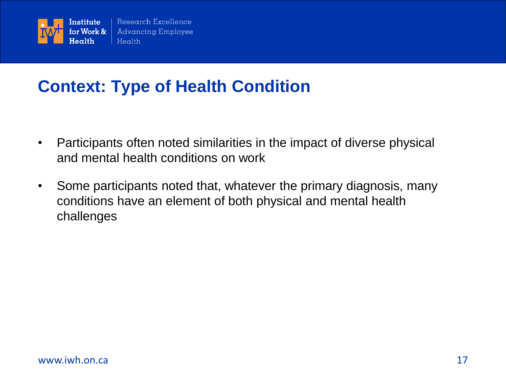

### **Context: Type of Health Condition**

- Participants often noted similarities in the impact of diverse physical and mental health conditions on work
- Some participants noted that, whatever the primary diagnosis, many conditions have an element of both physical and mental health challenges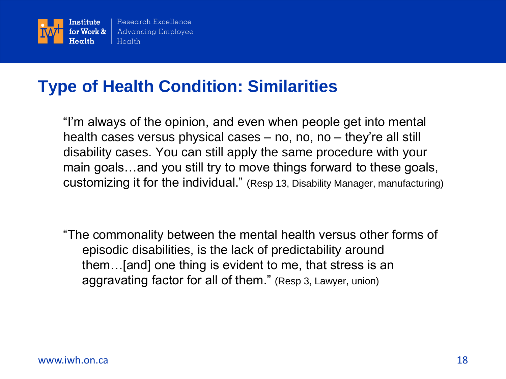

### **Type of Health Condition: Similarities**

"I'm always of the opinion, and even when people get into mental health cases versus physical cases – no, no, no – they're all still disability cases. You can still apply the same procedure with your main goals…and you still try to move things forward to these goals, customizing it for the individual." (Resp 13, Disability Manager, manufacturing)

"The commonality between the mental health versus other forms of episodic disabilities, is the lack of predictability around them…[and] one thing is evident to me, that stress is an aggravating factor for all of them." (Resp 3, Lawyer, union)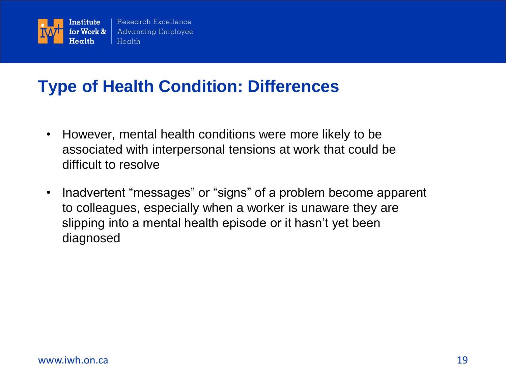

### **Type of Health Condition: Differences**

- However, mental health conditions were more likely to be associated with interpersonal tensions at work that could be difficult to resolve
- Inadvertent "messages" or "signs" of a problem become apparent to colleagues, especially when a worker is unaware they are slipping into a mental health episode or it hasn't yet been diagnosed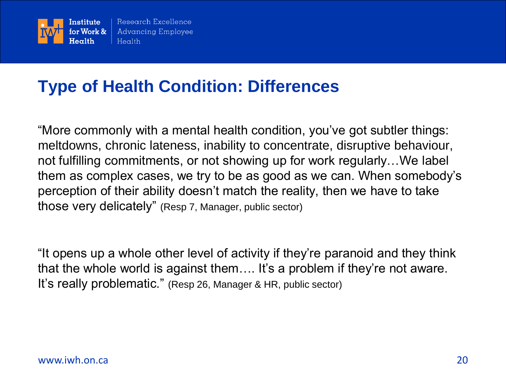

### **Type of Health Condition: Differences**

"More commonly with a mental health condition, you've got subtler things: meltdowns, chronic lateness, inability to concentrate, disruptive behaviour, not fulfilling commitments, or not showing up for work regularly…We label them as complex cases, we try to be as good as we can. When somebody's perception of their ability doesn't match the reality, then we have to take those very delicately" (Resp 7, Manager, public sector)

"It opens up a whole other level of activity if they're paranoid and they think that the whole world is against them…. It's a problem if they're not aware. It's really problematic." (Resp 26, Manager & HR, public sector)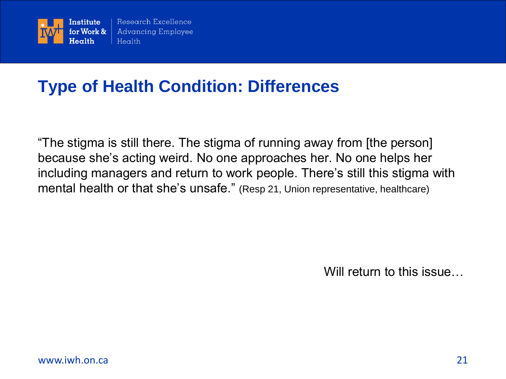

### **Type of Health Condition: Differences**

"The stigma is still there. The stigma of running away from [the person] because she's acting weird. No one approaches her. No one helps her including managers and return to work people. There's still this stigma with mental health or that she's unsafe." (Resp 21, Union representative, healthcare)

Will return to this issue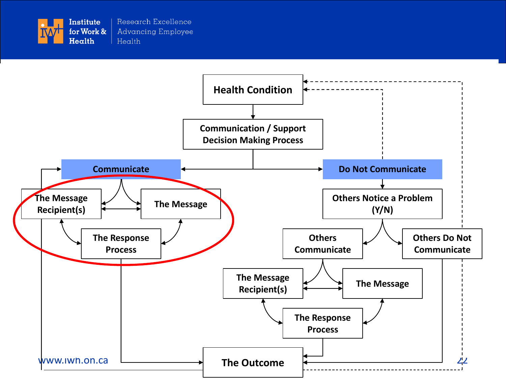

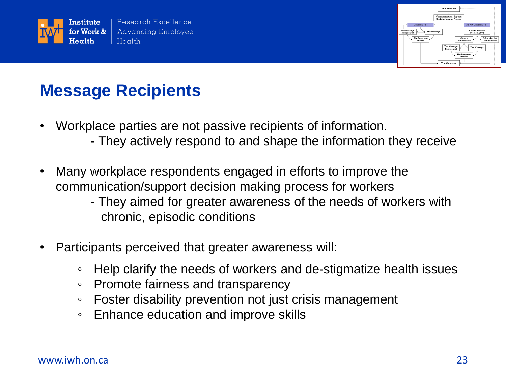



### **Message Recipients**

- Workplace parties are not passive recipients of information.
	- They actively respond to and shape the information they receive
- Many workplace respondents engaged in efforts to improve the communication/support decision making process for workers
	- They aimed for greater awareness of the needs of workers with chronic, episodic conditions
- Participants perceived that greater awareness will:
	- Help clarify the needs of workers and de-stigmatize health issues
	- Promote fairness and transparency
	- Foster disability prevention not just crisis management
	- Enhance education and improve skills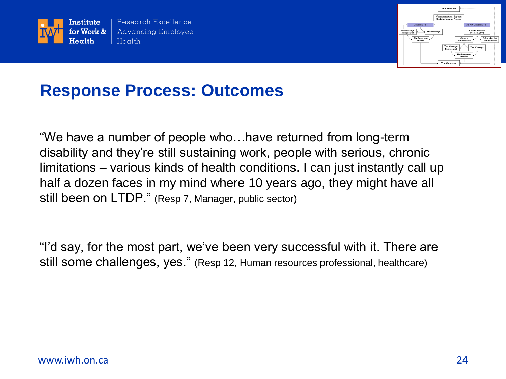



#### **Response Process: Outcomes**

"We have a number of people who…have returned from long-term disability and they're still sustaining work, people with serious, chronic limitations – various kinds of health conditions. I can just instantly call up half a dozen faces in my mind where 10 years ago, they might have all still been on LTDP." (Resp 7, Manager, public sector)

"I'd say, for the most part, we've been very successful with it. There are still some challenges, yes." (Resp 12, Human resources professional, healthcare)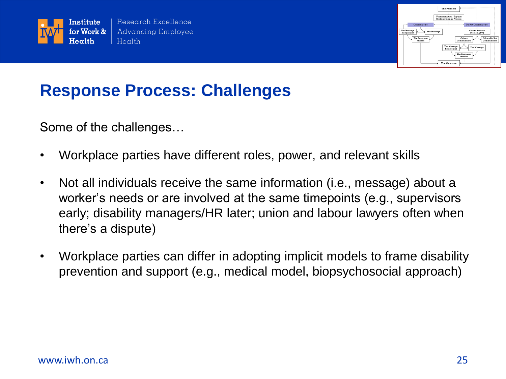



#### **Response Process: Challenges**

Some of the challenges…

- Workplace parties have different roles, power, and relevant skills
- Not all individuals receive the same information (i.e., message) about a worker's needs or are involved at the same timepoints (e.g., supervisors early; disability managers/HR later; union and labour lawyers often when there's a dispute)
- Workplace parties can differ in adopting implicit models to frame disability prevention and support (e.g., medical model, biopsychosocial approach)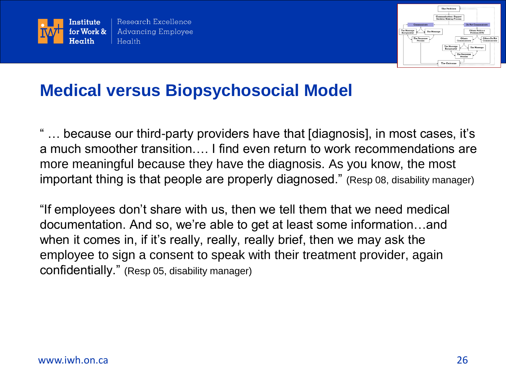



#### **Medical versus Biopsychosocial Model**

" … because our third-party providers have that [diagnosis], in most cases, it's a much smoother transition…. I find even return to work recommendations are more meaningful because they have the diagnosis. As you know, the most important thing is that people are properly diagnosed." (Resp 08, disability manager)

"If employees don't share with us, then we tell them that we need medical documentation. And so, we're able to get at least some information…and when it comes in, if it's really, really, really brief, then we may ask the employee to sign a consent to speak with their treatment provider, again confidentially." (Resp 05, disability manager)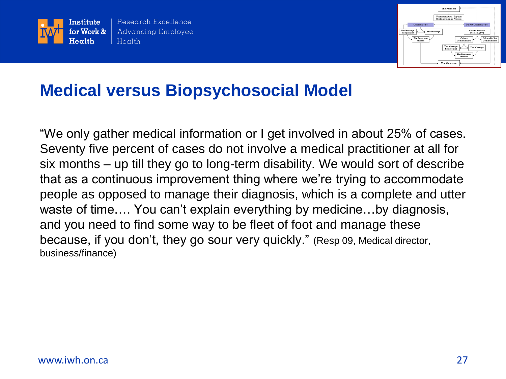



#### **Medical versus Biopsychosocial Model**

"We only gather medical information or I get involved in about 25% of cases. Seventy five percent of cases do not involve a medical practitioner at all for six months – up till they go to long-term disability. We would sort of describe that as a continuous improvement thing where we're trying to accommodate people as opposed to manage their diagnosis, which is a complete and utter waste of time…. You can't explain everything by medicine…by diagnosis, and you need to find some way to be fleet of foot and manage these because, if you don't, they go sour very quickly." (Resp 09, Medical director, business/finance)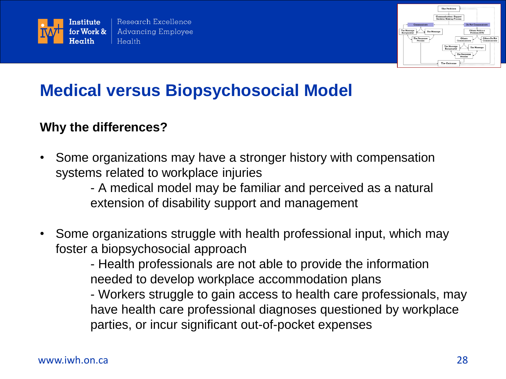



### **Medical versus Biopsychosocial Model**

#### **Why the differences?**

• Some organizations may have a stronger history with compensation systems related to workplace injuries

> - A medical model may be familiar and perceived as a natural extension of disability support and management

• Some organizations struggle with health professional input, which may foster a biopsychosocial approach

- Health professionals are not able to provide the information needed to develop workplace accommodation plans

- Workers struggle to gain access to health care professionals, may have health care professional diagnoses questioned by workplace parties, or incur significant out-of-pocket expenses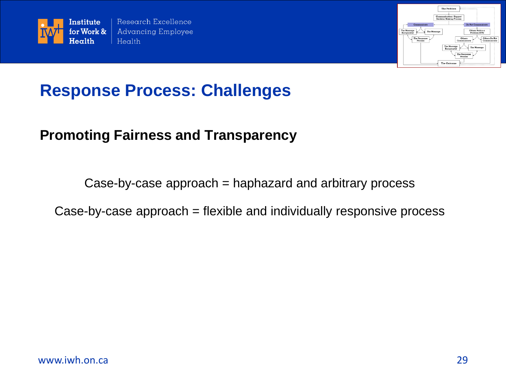



#### **Response Process: Challenges**

#### **Promoting Fairness and Transparency**

Case-by-case approach = haphazard and arbitrary process

Case-by-case approach = flexible and individually responsive process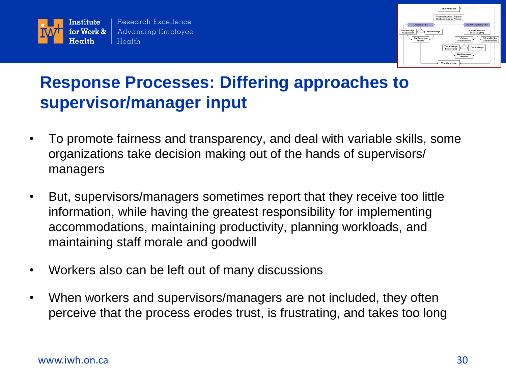



# **Response Processes: Differing approaches to supervisor/manager input**

- To promote fairness and transparency, and deal with variable skills, some organizations take decision making out of the hands of supervisors/ managers
- But, supervisors/managers sometimes report that they receive too little information, while having the greatest responsibility for implementing accommodations, maintaining productivity, planning workloads, and maintaining staff morale and goodwill
- Workers also can be left out of many discussions
- When workers and supervisors/managers are not included, they often perceive that the process erodes trust, is frustrating, and takes too long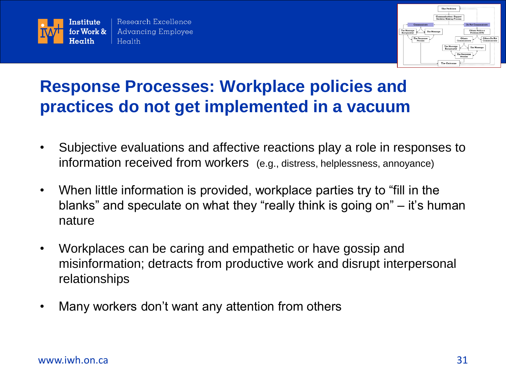



# **Response Processes: Workplace policies and practices do not get implemented in a vacuum**

- Subjective evaluations and affective reactions play a role in responses to information received from workers (e.g., distress, helplessness, annoyance)
- When little information is provided, workplace parties try to "fill in the blanks" and speculate on what they "really think is going on" – it's human nature
- Workplaces can be caring and empathetic or have gossip and misinformation; detracts from productive work and disrupt interpersonal relationships
- Many workers don't want any attention from others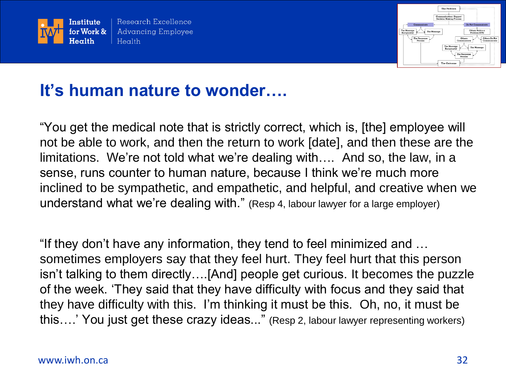



### **It's human nature to wonder….**

"You get the medical note that is strictly correct, which is, [the] employee will not be able to work, and then the return to work [date], and then these are the limitations. We're not told what we're dealing with…. And so, the law, in a sense, runs counter to human nature, because I think we're much more inclined to be sympathetic, and empathetic, and helpful, and creative when we understand what we're dealing with." (Resp 4, labour lawyer for a large employer)

"If they don't have any information, they tend to feel minimized and … sometimes employers say that they feel hurt. They feel hurt that this person isn't talking to them directly….[And] people get curious. It becomes the puzzle of the week. 'They said that they have difficulty with focus and they said that they have difficulty with this. I'm thinking it must be this. Oh, no, it must be this….' You just get these crazy ideas..." (Resp 2, labour lawyer representing workers)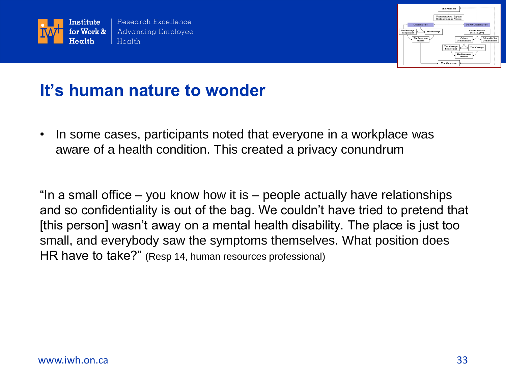



#### **It's human nature to wonder**

• In some cases, participants noted that everyone in a workplace was aware of a health condition. This created a privacy conundrum

"In a small office – you know how it is – people actually have relationships and so confidentiality is out of the bag. We couldn't have tried to pretend that [this person] wasn't away on a mental health disability. The place is just too small, and everybody saw the symptoms themselves. What position does HR have to take?" (Resp 14, human resources professional)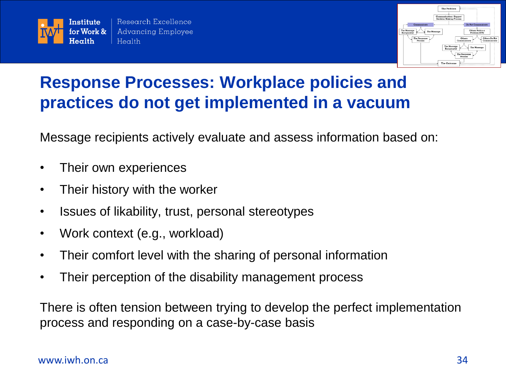



# **Response Processes: Workplace policies and practices do not get implemented in a vacuum**

Message recipients actively evaluate and assess information based on:

- Their own experiences
- Their history with the worker
- Issues of likability, trust, personal stereotypes
- Work context (e.g., workload)
- Their comfort level with the sharing of personal information
- Their perception of the disability management process

There is often tension between trying to develop the perfect implementation process and responding on a case-by-case basis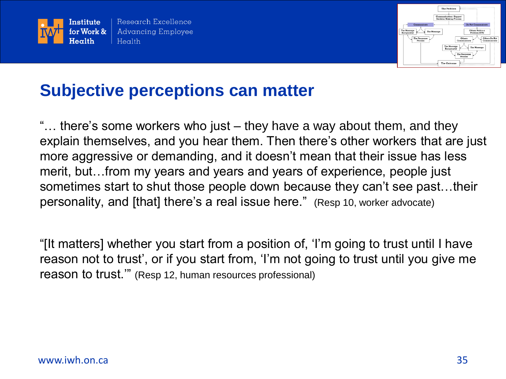



### **Subjective perceptions can matter**

"… there's some workers who just – they have a way about them, and they explain themselves, and you hear them. Then there's other workers that are just more aggressive or demanding, and it doesn't mean that their issue has less merit, but…from my years and years and years of experience, people just sometimes start to shut those people down because they can't see past…their personality, and [that] there's a real issue here." (Resp 10, worker advocate)

"[It matters] whether you start from a position of, 'I'm going to trust until I have reason not to trust', or if you start from, 'I'm not going to trust until you give me reason to trust.'" (Resp 12, human resources professional)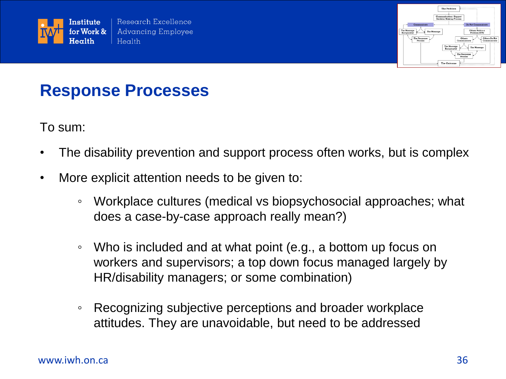



#### **Response Processes**

To sum:

- The disability prevention and support process often works, but is complex
- More explicit attention needs to be given to:
	- Workplace cultures (medical vs biopsychosocial approaches; what does a case-by-case approach really mean?)
	- Who is included and at what point (e.g., a bottom up focus on workers and supervisors; a top down focus managed largely by HR/disability managers; or some combination)
	- Recognizing subjective perceptions and broader workplace attitudes. They are unavoidable, but need to be addressed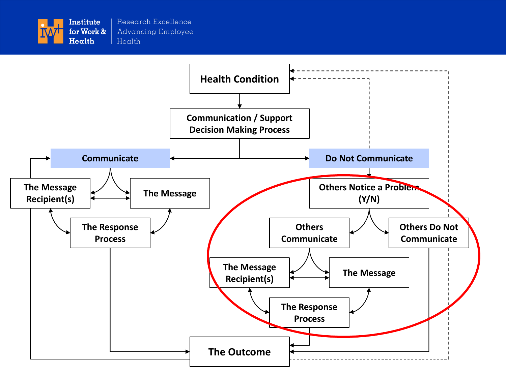

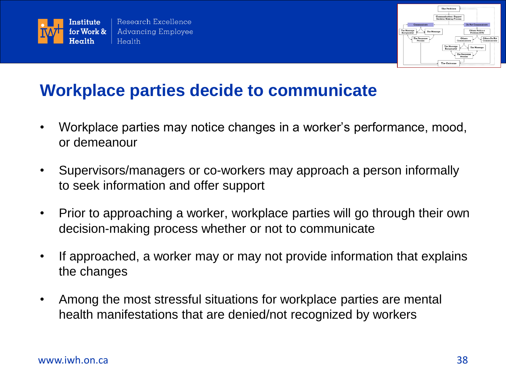



#### **Workplace parties decide to communicate**

- Workplace parties may notice changes in a worker's performance, mood, or demeanour
- Supervisors/managers or co-workers may approach a person informally to seek information and offer support
- Prior to approaching a worker, workplace parties will go through their own decision-making process whether or not to communicate
- If approached, a worker may or may not provide information that explains the changes
- Among the most stressful situations for workplace parties are mental health manifestations that are denied/not recognized by workers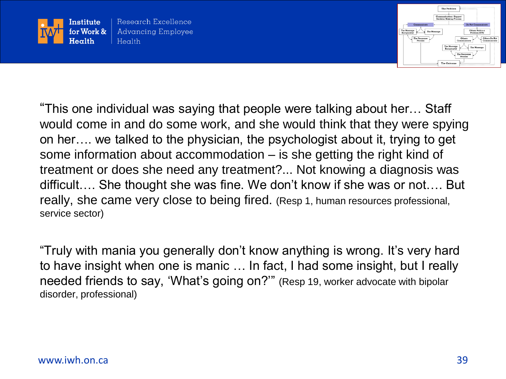



"This one individual was saying that people were talking about her… Staff would come in and do some work, and she would think that they were spying on her…. we talked to the physician, the psychologist about it, trying to get some information about accommodation – is she getting the right kind of treatment or does she need any treatment?... Not knowing a diagnosis was difficult…. She thought she was fine. We don't know if she was or not…. But really, she came very close to being fired. (Resp 1, human resources professional, service sector)

"Truly with mania you generally don't know anything is wrong. It's very hard to have insight when one is manic … In fact, I had some insight, but I really needed friends to say, 'What's going on?'" (Resp 19, worker advocate with bipolar disorder, professional)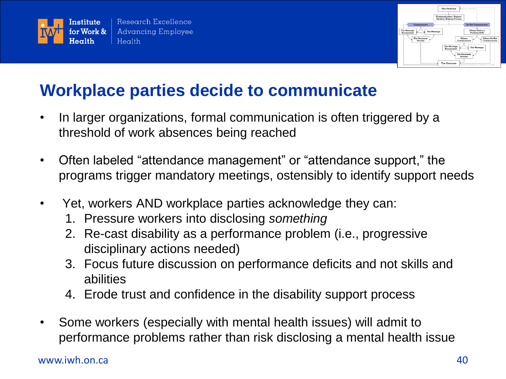



### **Workplace parties decide to communicate**

- In larger organizations, formal communication is often triggered by a threshold of work absences being reached
- Often labeled "attendance management" or "attendance support," the programs trigger mandatory meetings, ostensibly to identify support needs
- Yet, workers AND workplace parties acknowledge they can:
	- 1. Pressure workers into disclosing *something*
	- 2. Re-cast disability as a performance problem (i.e., progressive disciplinary actions needed)
	- 3. Focus future discussion on performance deficits and not skills and abilities
	- 4. Erode trust and confidence in the disability support process
- Some workers (especially with mental health issues) will admit to performance problems rather than risk disclosing a mental health issue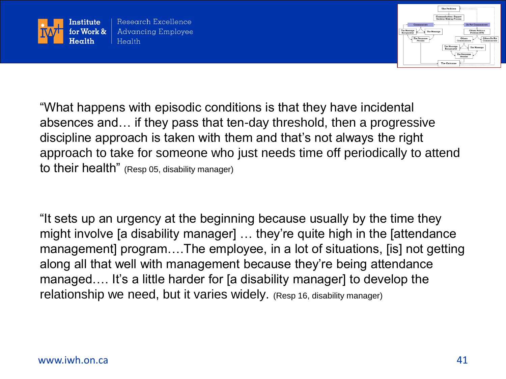



"What happens with episodic conditions is that they have incidental absences and… if they pass that ten-day threshold, then a progressive discipline approach is taken with them and that's not always the right approach to take for someone who just needs time off periodically to attend to their health" (Resp 05, disability manager)

"It sets up an urgency at the beginning because usually by the time they might involve [a disability manager] … they're quite high in the [attendance management] program….The employee, in a lot of situations, [is] not getting along all that well with management because they're being attendance managed…. It's a little harder for [a disability manager] to develop the relationship we need, but it varies widely. (Resp 16, disability manager)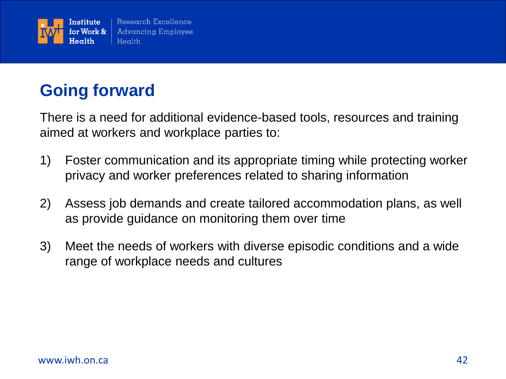

# **Going forward**

There is a need for additional evidence-based tools, resources and training aimed at workers and workplace parties to:

- 1) Foster communication and its appropriate timing while protecting worker privacy and worker preferences related to sharing information
- 2) Assess job demands and create tailored accommodation plans, as well as provide guidance on monitoring them over time
- 3) Meet the needs of workers with diverse episodic conditions and a wide range of workplace needs and cultures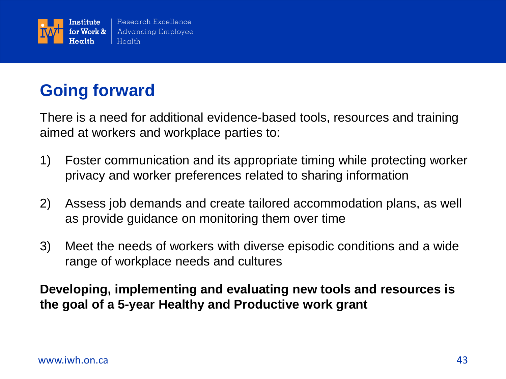

# **Going forward**

There is a need for additional evidence-based tools, resources and training aimed at workers and workplace parties to:

- 1) Foster communication and its appropriate timing while protecting worker privacy and worker preferences related to sharing information
- 2) Assess job demands and create tailored accommodation plans, as well as provide guidance on monitoring them over time
- 3) Meet the needs of workers with diverse episodic conditions and a wide range of workplace needs and cultures

**Developing, implementing and evaluating new tools and resources is the goal of a 5-year Healthy and Productive work grant**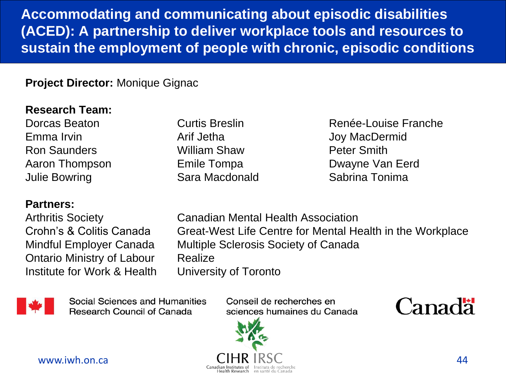**Accommodating and communicating about episodic disabilities (ACED): A partnership to deliver workplace tools and resources to sustain the employment of people with chronic, episodic conditions**

#### **Project Director:** Monique Gignac

#### **Research Team:**

Emma Irvin **Arif Jetha** Arif Jetha Joy MacDermid Ron Saunders William Shaw Peter Smith Julie Bowring Sara Macdonald Sabrina Tonima

#### **Partners:**

Ontario Ministry of Labour Realize Institute for Work & Health University of Toronto

Dorcas Beaton **Curtis Breslin** Curtis **Breslin** Renée-Louise Franche Aaron Thompson Emile Tompa **Dwayne Van Eerd** 

Arthritis Society Canadian Mental Health Association Crohn's & Colitis Canada Great-West Life Centre for Mental Health in the Workplace Mindful Employer Canada Multiple Sclerosis Society of Canada



Social Sciences and Humanities **Research Council of Canada** 

Conseil de recherches en sciences humaines du Canada



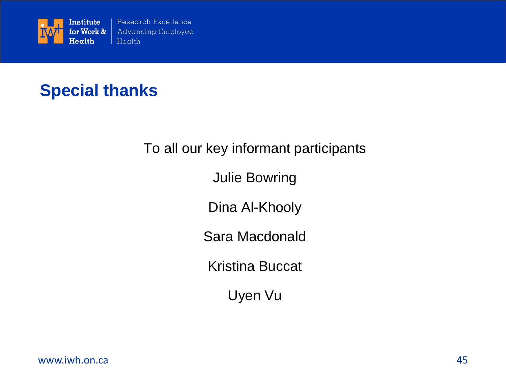

### **Special thanks**

#### To all our key informant participants

Julie Bowring

Dina Al-Khooly

Sara Macdonald

Kristina Buccat

Uyen Vu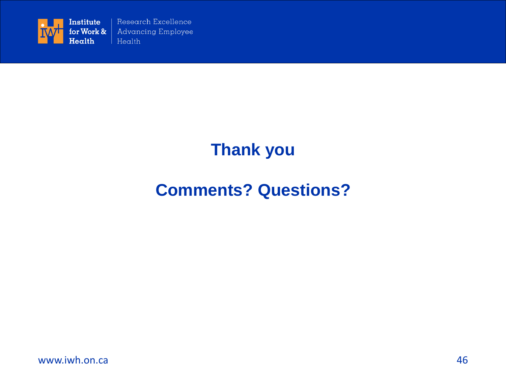

# **Thank you**

# **Comments? Questions?**